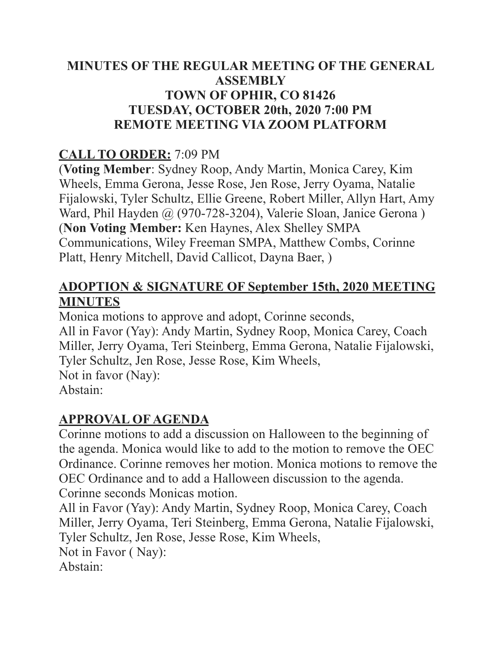#### **MINUTES OF THE REGULAR MEETING OF THE GENERAL ASSEMBLY TOWN OF OPHIR, CO 81426 TUESDAY, OCTOBER 20th, 2020 7:00 PM REMOTE MEETING VIA ZOOM PLATFORM**

## **CALL TO ORDER:** 7:09 PM

(**Voting Member**: Sydney Roop, Andy Martin, Monica Carey, Kim Wheels, Emma Gerona, Jesse Rose, Jen Rose, Jerry Oyama, Natalie Fijalowski, Tyler Schultz, Ellie Greene, Robert Miller, Allyn Hart, Amy Ward, Phil Hayden @ (970-728-3204), Valerie Sloan, Janice Gerona ) (**Non Voting Member:** Ken Haynes, Alex Shelley SMPA Communications, Wiley Freeman SMPA, Matthew Combs, Corinne Platt, Henry Mitchell, David Callicot, Dayna Baer, )

#### **ADOPTION & SIGNATURE OF September 15th, 2020 MEETING MINUTES**

Monica motions to approve and adopt, Corinne seconds, All in Favor (Yay): Andy Martin, Sydney Roop, Monica Carey, Coach Miller, Jerry Oyama, Teri Steinberg, Emma Gerona, Natalie Fijalowski, Tyler Schultz, Jen Rose, Jesse Rose, Kim Wheels, Not in favor (Nay): Abstain:

#### **APPROVAL OF AGENDA**

Corinne motions to add a discussion on Halloween to the beginning of the agenda. Monica would like to add to the motion to remove the OEC Ordinance. Corinne removes her motion. Monica motions to remove the OEC Ordinance and to add a Halloween discussion to the agenda. Corinne seconds Monicas motion.

All in Favor (Yay): Andy Martin, Sydney Roop, Monica Carey, Coach Miller, Jerry Oyama, Teri Steinberg, Emma Gerona, Natalie Fijalowski, Tyler Schultz, Jen Rose, Jesse Rose, Kim Wheels, Not in Favor ( Nay): Abstain: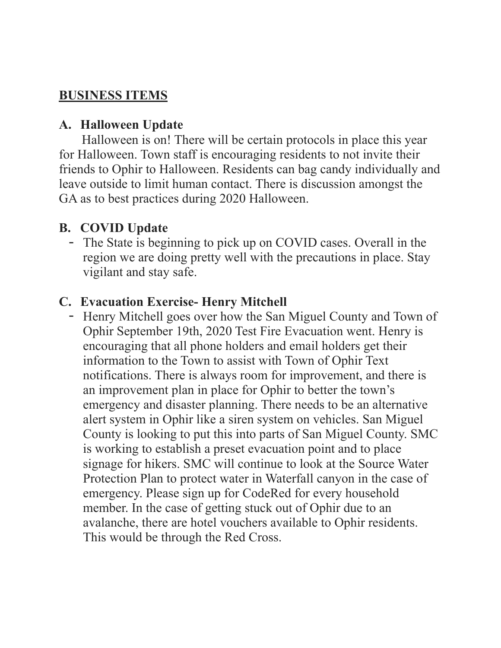#### **BUSINESS ITEMS**

#### **A. Halloween Update**

Halloween is on! There will be certain protocols in place this year for Halloween. Town staff is encouraging residents to not invite their friends to Ophir to Halloween. Residents can bag candy individually and leave outside to limit human contact. There is discussion amongst the GA as to best practices during 2020 Halloween.

### **B. COVID Update**

- The State is beginning to pick up on COVID cases. Overall in the region we are doing pretty well with the precautions in place. Stay vigilant and stay safe.

#### **C. Evacuation Exercise- Henry Mitchell**

- Henry Mitchell goes over how the San Miguel County and Town of Ophir September 19th, 2020 Test Fire Evacuation went. Henry is encouraging that all phone holders and email holders get their information to the Town to assist with Town of Ophir Text notifications. There is always room for improvement, and there is an improvement plan in place for Ophir to better the town's emergency and disaster planning. There needs to be an alternative alert system in Ophir like a siren system on vehicles. San Miguel County is looking to put this into parts of San Miguel County. SMC is working to establish a preset evacuation point and to place signage for hikers. SMC will continue to look at the Source Water Protection Plan to protect water in Waterfall canyon in the case of emergency. Please sign up for CodeRed for every household member. In the case of getting stuck out of Ophir due to an avalanche, there are hotel vouchers available to Ophir residents. This would be through the Red Cross.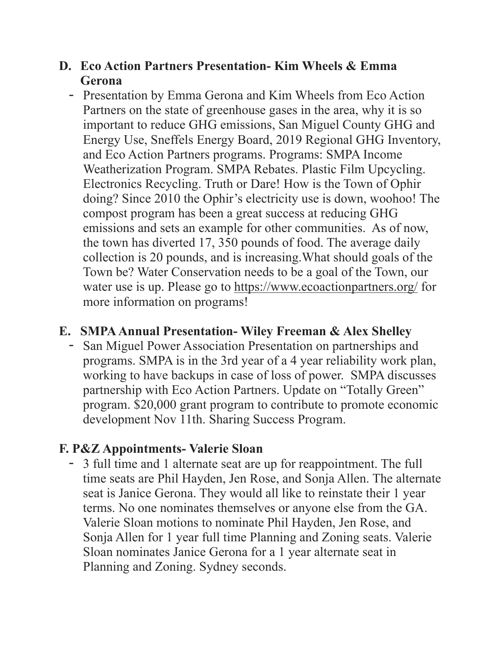#### **D. Eco Action Partners Presentation- Kim Wheels & Emma Gerona**

- Presentation by Emma Gerona and Kim Wheels from Eco Action Partners on the state of greenhouse gases in the area, why it is so important to reduce GHG emissions, San Miguel County GHG and Energy Use, Sneffels Energy Board, 2019 Regional GHG Inventory, and Eco Action Partners programs. Programs: SMPA Income Weatherization Program. SMPA Rebates. Plastic Film Upcycling. Electronics Recycling. Truth or Dare! How is the Town of Ophir doing? Since 2010 the Ophir's electricity use is down, woohoo! The compost program has been a great success at reducing GHG emissions and sets an example for other communities. As of now, the town has diverted 17, 350 pounds of food. The average daily collection is 20 pounds, and is increasing.What should goals of the Town be? Water Conservation needs to be a goal of the Town, our water use is up. Please go to<https://www.ecoactionpartners.org/>for more information on programs!

#### **E. SMPA Annual Presentation- Wiley Freeman & Alex Shelley**

- San Miguel Power Association Presentation on partnerships and programs. SMPA is in the 3rd year of a 4 year reliability work plan, working to have backups in case of loss of power. SMPA discusses partnership with Eco Action Partners. Update on "Totally Green" program. \$20,000 grant program to contribute to promote economic development Nov 11th. Sharing Success Program.

#### **F. P&Z Appointments- Valerie Sloan**

- 3 full time and 1 alternate seat are up for reappointment. The full time seats are Phil Hayden, Jen Rose, and Sonja Allen. The alternate seat is Janice Gerona. They would all like to reinstate their 1 year terms. No one nominates themselves or anyone else from the GA. Valerie Sloan motions to nominate Phil Hayden, Jen Rose, and Sonja Allen for 1 year full time Planning and Zoning seats. Valerie Sloan nominates Janice Gerona for a 1 year alternate seat in Planning and Zoning. Sydney seconds.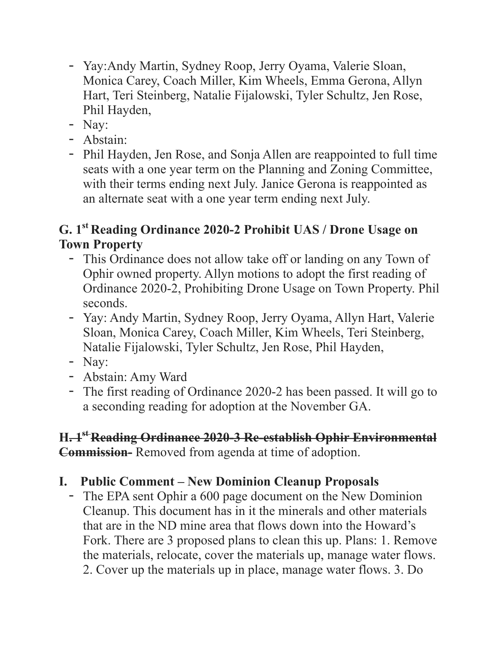- Yay:Andy Martin, Sydney Roop, Jerry Oyama, Valerie Sloan, Monica Carey, Coach Miller, Kim Wheels, Emma Gerona, Allyn Hart, Teri Steinberg, Natalie Fijalowski, Tyler Schultz, Jen Rose, Phil Hayden,
- Nay:
- Abstain:
- Phil Hayden, Jen Rose, and Sonja Allen are reappointed to full time seats with a one year term on the Planning and Zoning Committee, with their terms ending next July. Janice Gerona is reappointed as an alternate seat with a one year term ending next July.

## **G. 1st Reading Ordinance 2020-2 Prohibit UAS / Drone Usage on Town Property**

- This Ordinance does not allow take off or landing on any Town of Ophir owned property. Allyn motions to adopt the first reading of Ordinance 2020-2, Prohibiting Drone Usage on Town Property. Phil seconds.
- Yay: Andy Martin, Sydney Roop, Jerry Oyama, Allyn Hart, Valerie Sloan, Monica Carey, Coach Miller, Kim Wheels, Teri Steinberg, Natalie Fijalowski, Tyler Schultz, Jen Rose, Phil Hayden,
- Nay:
- Abstain: Amy Ward
- The first reading of Ordinance 2020-2 has been passed. It will go to a seconding reading for adoption at the November GA.

### **H. 1st Reading Ordinance 2020-3 Re-establish Ophir Environmental Commission-** Removed from agenda at time of adoption.

# **I. Public Comment – New Dominion Cleanup Proposals**

- The EPA sent Ophir a 600 page document on the New Dominion Cleanup. This document has in it the minerals and other materials that are in the ND mine area that flows down into the Howard's Fork. There are 3 proposed plans to clean this up. Plans: 1. Remove the materials, relocate, cover the materials up, manage water flows. 2. Cover up the materials up in place, manage water flows. 3. Do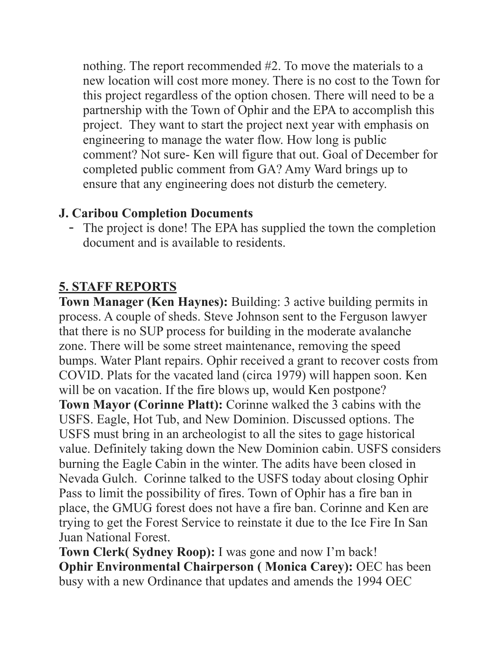nothing. The report recommended #2. To move the materials to a new location will cost more money. There is no cost to the Town for this project regardless of the option chosen. There will need to be a partnership with the Town of Ophir and the EPA to accomplish this project. They want to start the project next year with emphasis on engineering to manage the water flow. How long is public comment? Not sure- Ken will figure that out. Goal of December for completed public comment from GA? Amy Ward brings up to ensure that any engineering does not disturb the cemetery.

## **J. Caribou Completion Documents**

- The project is done! The EPA has supplied the town the completion document and is available to residents.

# **5. STAFF REPORTS**

**Town Manager (Ken Haynes):** Building: 3 active building permits in process. A couple of sheds. Steve Johnson sent to the Ferguson lawyer that there is no SUP process for building in the moderate avalanche zone. There will be some street maintenance, removing the speed bumps. Water Plant repairs. Ophir received a grant to recover costs from COVID. Plats for the vacated land (circa 1979) will happen soon. Ken will be on vacation. If the fire blows up, would Ken postpone? **Town Mayor (Corinne Platt):** Corinne walked the 3 cabins with the USFS. Eagle, Hot Tub, and New Dominion. Discussed options. The USFS must bring in an archeologist to all the sites to gage historical value. Definitely taking down the New Dominion cabin. USFS considers burning the Eagle Cabin in the winter. The adits have been closed in Nevada Gulch. Corinne talked to the USFS today about closing Ophir Pass to limit the possibility of fires. Town of Ophir has a fire ban in place, the GMUG forest does not have a fire ban. Corinne and Ken are trying to get the Forest Service to reinstate it due to the Ice Fire In San Juan National Forest.

**Town Clerk( Sydney Roop):** I was gone and now I'm back! **Ophir Environmental Chairperson (Monica Carey): OEC has been** busy with a new Ordinance that updates and amends the 1994 OEC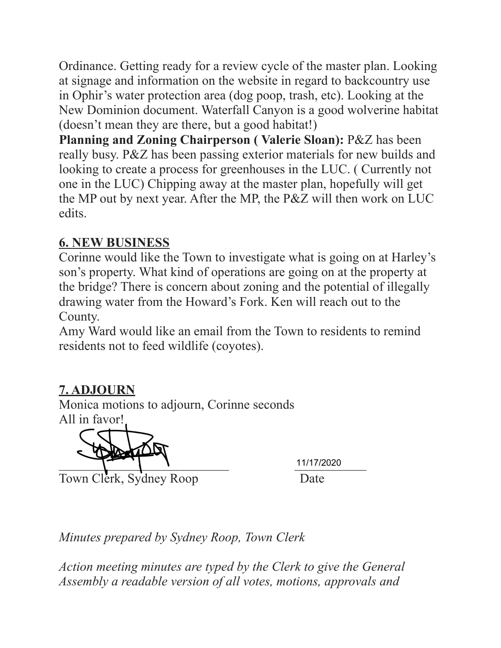Ordinance. Getting ready for a review cycle of the master plan. Looking at signage and information on the website in regard to backcountry use in Ophir's water protection area (dog poop, trash, etc). Looking at the New Dominion document. Waterfall Canyon is a good wolverine habitat (doesn't mean they are there, but a good habitat!)

**Planning and Zoning Chairperson ( Valerie Sloan):** P&Z has been really busy. P&Z has been passing exterior materials for new builds and looking to create a process for greenhouses in the LUC. ( Currently not one in the LUC) Chipping away at the master plan, hopefully will get the MP out by next year. After the MP, the P&Z will then work on LUC edits.

## **6. NEW BUSINESS**

Corinne would like the Town to investigate what is going on at Harley's son's property. What kind of operations are going on at the property at the bridge? There is concern about zoning and the potential of illegally drawing water from the Howard's Fork. Ken will reach out to the County.

Amy Ward would like an email from the Town to residents to remind residents not to feed wildlife (coyotes).

## **7. ADJOURN**

Monica motions to adjourn, Corinne seconds All in favor!

11/17/2020

Town Clerk, Sydney Roop Date

11/17/2020

*Minutes prepared by Sydney Roop, Town Clerk* 

*Action meeting minutes are typed by the Clerk to give the General Assembly a readable version of all votes, motions, approvals and*